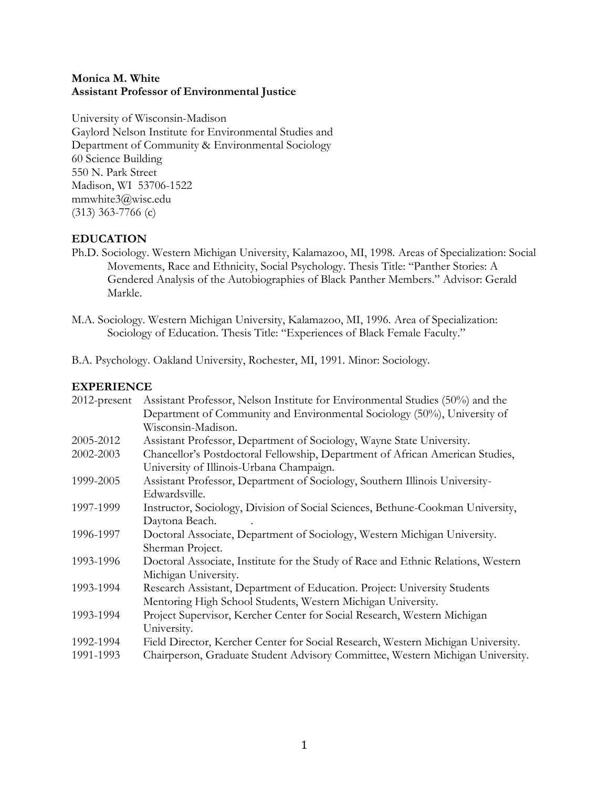# **Monica M. White Assistant Professor of Environmental Justice**

University of Wisconsin-Madison Gaylord Nelson Institute for Environmental Studies and Department of Community & Environmental Sociology 60 Science Building 550 N. Park Street Madison, WI 53706-1522 mmwhite3@wisc.edu (313) 363-7766 (c)

# **EDUCATION**

Ph.D. Sociology. Western Michigan University, Kalamazoo, MI, 1998. Areas of Specialization: Social Movements, Race and Ethnicity, Social Psychology. Thesis Title: "Panther Stories: A Gendered Analysis of the Autobiographies of Black Panther Members." Advisor: Gerald Markle.

B.A. Psychology. Oakland University, Rochester, MI, 1991. Minor: Sociology.

# **EXPERIENCE**

| $2012$ -present | Assistant Professor, Nelson Institute for Environmental Studies (50%) and the     |
|-----------------|-----------------------------------------------------------------------------------|
|                 | Department of Community and Environmental Sociology (50%), University of          |
|                 | Wisconsin-Madison.                                                                |
| 2005-2012       | Assistant Professor, Department of Sociology, Wayne State University.             |
| 2002-2003       | Chancellor's Postdoctoral Fellowship, Department of African American Studies,     |
|                 | University of Illinois-Urbana Champaign.                                          |
| 1999-2005       | Assistant Professor, Department of Sociology, Southern Illinois University-       |
|                 | Edwardsville.                                                                     |
| 1997-1999       | Instructor, Sociology, Division of Social Sciences, Bethune-Cookman University,   |
|                 | Daytona Beach.                                                                    |
| 1996-1997       | Doctoral Associate, Department of Sociology, Western Michigan University.         |
|                 | Sherman Project.                                                                  |
| 1993-1996       | Doctoral Associate, Institute for the Study of Race and Ethnic Relations, Western |
|                 | Michigan University.                                                              |
| 1993-1994       | Research Assistant, Department of Education. Project: University Students         |
|                 | Mentoring High School Students, Western Michigan University.                      |
| 1993-1994       | Project Supervisor, Kercher Center for Social Research, Western Michigan          |
|                 | University.                                                                       |
| 1992-1994       | Field Director, Kercher Center for Social Research, Western Michigan University.  |
| 1991-1993       | Chairperson, Graduate Student Advisory Committee, Western Michigan University     |

M.A. Sociology. Western Michigan University, Kalamazoo, MI, 1996. Area of Specialization: Sociology of Education. Thesis Title: "Experiences of Black Female Faculty."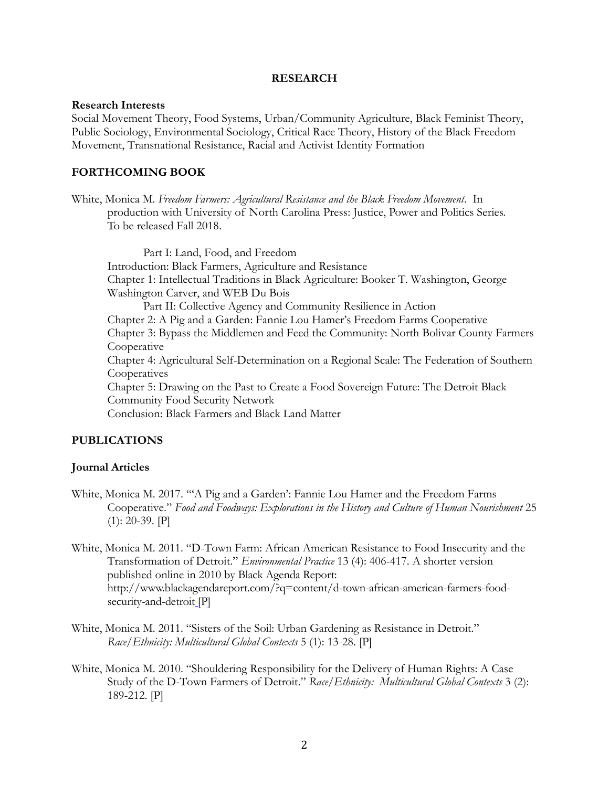#### **RESEARCH**

#### **Research Interests**

Social Movement Theory, Food Systems, Urban/Community Agriculture, Black Feminist Theory, Public Sociology, Environmental Sociology, Critical Race Theory, History of the Black Freedom Movement, Transnational Resistance, Racial and Activist Identity Formation

### **FORTHCOMING BOOK**

White, Monica M. *Freedom Farmers: Agricultural Resistance and the Black Freedom Movement*. In production with University of North Carolina Press: Justice, Power and Politics Series. To be released Fall 2018.

Part I: Land, Food, and Freedom Introduction: Black Farmers, Agriculture and Resistance Chapter 1: Intellectual Traditions in Black Agriculture: Booker T. Washington, George Washington Carver, and WEB Du Bois Part II: Collective Agency and Community Resilience in Action Chapter 2: A Pig and a Garden: Fannie Lou Hamer's Freedom Farms Cooperative Chapter 3: Bypass the Middlemen and Feed the Community: North Bolivar County Farmers **Cooperative** Chapter 4: Agricultural Self-Determination on a Regional Scale: The Federation of Southern **Cooperatives** Chapter 5: Drawing on the Past to Create a Food Sovereign Future: The Detroit Black Community Food Security Network Conclusion: Black Farmers and Black Land Matter

#### **PUBLICATIONS**

#### **Journal Articles**

- White, Monica M. 2017. "'A Pig and a Garden': Fannie Lou Hamer and the Freedom Farms Cooperative." *Food and Foodways: Explorations in the History and Culture of Human Nourishment* 25 (1): 20-39. [P]
- White, Monica M. 2011. "D-Town Farm: African American Resistance to Food Insecurity and the Transformation of Detroit." *Environmental Practice* 13 (4): 406-417. A shorter version published online in 2010 by Black Agenda Report: http://www.blackagendareport.com/?q=content/d-town-african-american-farmers-foodsecurity-and-detroit<sub>[P]</sub>
- White, Monica M. 2011. "Sisters of the Soil: Urban Gardening as Resistance in Detroit." *Race/Ethnicity: Multicultural Global Contexts* 5 (1): 13-28. [P]
- White, Monica M. 2010. "Shouldering Responsibility for the Delivery of Human Rights: A Case Study of the D-Town Farmers of Detroit." *Race/Ethnicity: Multicultural Global Contexts* 3 (2): 189-212. [P]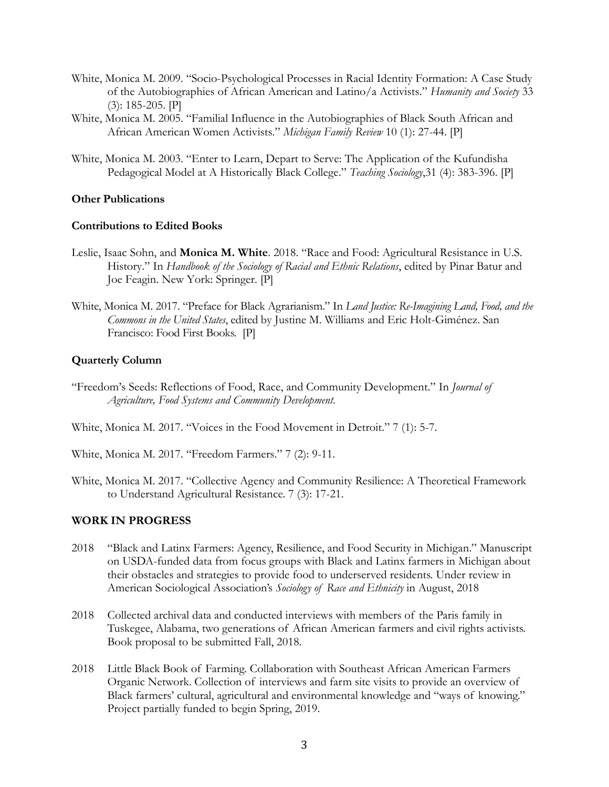- White, Monica M. 2009. "Socio-Psychological Processes in Racial Identity Formation: A Case Study of the Autobiographies of African American and Latino/a Activists." *Humanity and Society* 33 (3): 185-205. [P]
- White, Monica M. 2005. "Familial Influence in the Autobiographies of Black South African and African American Women Activists." *Michigan Family Review* 10 (1): 27-44. [P]
- White, Monica M. 2003. "Enter to Learn, Depart to Serve: The Application of the Kufundisha Pedagogical Model at A Historically Black College." *Teaching Sociology*,31 (4): 383-396. [P]

### **Other Publications**

### **Contributions to Edited Books**

- Leslie, Isaac Sohn, and **Monica M. White**. 2018. "Race and Food: Agricultural Resistance in U.S. History." In *Handbook of the Sociology of Racial and Ethnic Relations*, edited by Pinar Batur and Joe Feagin. New York: Springer. [P]
- White, Monica M. 2017. "Preface for Black Agrarianism." In *Land Justice: Re-Imagining Land, Food, and the Commons in the United States*, edited by Justine M. Williams and Eric Holt-Giménez. San Francisco: Food First Books. [P]

### **Quarterly Column**

- "Freedom's Seeds: Reflections of Food, Race, and Community Development." In *Journal of Agriculture, Food Systems and Community Development.*
- White, Monica M. 2017. "Voices in the Food Movement in Detroit." 7 (1): 5-7.
- White, Monica M. 2017. "Freedom Farmers." 7 (2): 9-11.
- White, Monica M. 2017. "Collective Agency and Community Resilience: A Theoretical Framework to Understand Agricultural Resistance. 7 (3): 17-21.

# **WORK IN PROGRESS**

- 2018 "Black and Latinx Farmers: Agency, Resilience, and Food Security in Michigan." Manuscript on USDA-funded data from focus groups with Black and Latinx farmers in Michigan about their obstacles and strategies to provide food to underserved residents. Under review in American Sociological Association's *Sociology of Race and Ethnicity* in August, 2018
- 2018 Collected archival data and conducted interviews with members of the Paris family in Tuskegee, Alabama, two generations of African American farmers and civil rights activists. Book proposal to be submitted Fall, 2018.
- 2018 Little Black Book of Farming. Collaboration with Southeast African American Farmers Organic Network. Collection of interviews and farm site visits to provide an overview of Black farmers' cultural, agricultural and environmental knowledge and "ways of knowing." Project partially funded to begin Spring, 2019.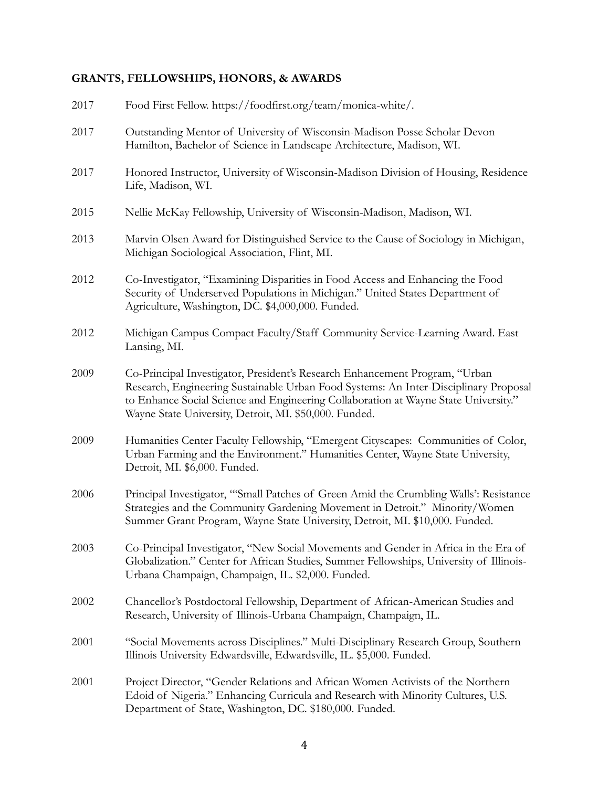# **GRANTS, FELLOWSHIPS, HONORS, & AWARDS**

| 2017 | Food First Fellow. https://foodfirst.org/team/monica-white/.                                                                                                                                                                                                                                                         |
|------|----------------------------------------------------------------------------------------------------------------------------------------------------------------------------------------------------------------------------------------------------------------------------------------------------------------------|
| 2017 | Outstanding Mentor of University of Wisconsin-Madison Posse Scholar Devon<br>Hamilton, Bachelor of Science in Landscape Architecture, Madison, WI.                                                                                                                                                                   |
| 2017 | Honored Instructor, University of Wisconsin-Madison Division of Housing, Residence<br>Life, Madison, WI.                                                                                                                                                                                                             |
| 2015 | Nellie McKay Fellowship, University of Wisconsin-Madison, Madison, WI.                                                                                                                                                                                                                                               |
| 2013 | Marvin Olsen Award for Distinguished Service to the Cause of Sociology in Michigan,<br>Michigan Sociological Association, Flint, MI.                                                                                                                                                                                 |
| 2012 | Co-Investigator, "Examining Disparities in Food Access and Enhancing the Food<br>Security of Underserved Populations in Michigan." United States Department of<br>Agriculture, Washington, DC. \$4,000,000. Funded.                                                                                                  |
| 2012 | Michigan Campus Compact Faculty/Staff Community Service-Learning Award. East<br>Lansing, MI.                                                                                                                                                                                                                         |
| 2009 | Co-Principal Investigator, President's Research Enhancement Program, "Urban<br>Research, Engineering Sustainable Urban Food Systems: An Inter-Disciplinary Proposal<br>to Enhance Social Science and Engineering Collaboration at Wayne State University."<br>Wayne State University, Detroit, MI. \$50,000. Funded. |
| 2009 | Humanities Center Faculty Fellowship, "Emergent Cityscapes: Communities of Color,<br>Urban Farming and the Environment." Humanities Center, Wayne State University,<br>Detroit, MI. \$6,000. Funded.                                                                                                                 |
| 2006 | Principal Investigator, "Small Patches of Green Amid the Crumbling Walls': Resistance<br>Strategies and the Community Gardening Movement in Detroit." Minority/Women<br>Summer Grant Program, Wayne State University, Detroit, MI. \$10,000. Funded.                                                                 |
| 2003 | Co-Principal Investigator, "New Social Movements and Gender in Africa in the Era of<br>Globalization." Center for African Studies, Summer Fellowships, University of Illinois-<br>Urbana Champaign, Champaign, IL. \$2,000. Funded.                                                                                  |
| 2002 | Chancellor's Postdoctoral Fellowship, Department of African-American Studies and<br>Research, University of Illinois-Urbana Champaign, Champaign, IL.                                                                                                                                                                |
| 2001 | "Social Movements across Disciplines." Multi-Disciplinary Research Group, Southern<br>Illinois University Edwardsville, Edwardsville, IL. \$5,000. Funded.                                                                                                                                                           |
| 2001 | Project Director, "Gender Relations and African Women Activists of the Northern<br>Edoid of Nigeria." Enhancing Curricula and Research with Minority Cultures, U.S.<br>Department of State, Washington, DC. \$180,000. Funded.                                                                                       |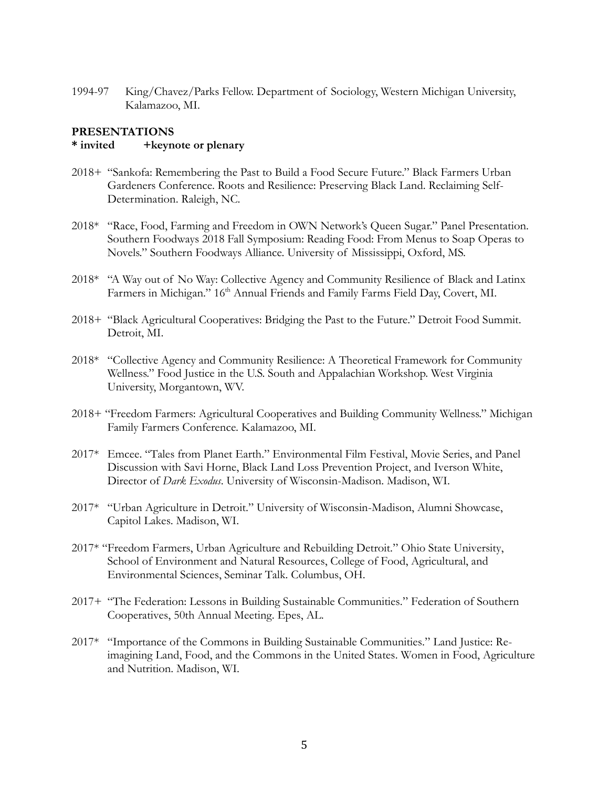1994-97 King/Chavez/Parks Fellow. Department of Sociology, Western Michigan University, Kalamazoo, MI.

### **PRESENTATIONS**

### **\* invited +keynote or plenary**

- 2018+ "Sankofa: Remembering the Past to Build a Food Secure Future." Black Farmers Urban Gardeners Conference. Roots and Resilience: Preserving Black Land. Reclaiming Self-Determination. Raleigh, NC.
- 2018\* "Race, Food, Farming and Freedom in OWN Network's Queen Sugar." Panel Presentation. Southern Foodways 2018 Fall Symposium: Reading Food: From Menus to Soap Operas to Novels." Southern Foodways Alliance. University of Mississippi, Oxford, MS.
- 2018\* "A Way out of No Way: Collective Agency and Community Resilience of Black and Latinx Farmers in Michigan." 16<sup>th</sup> Annual Friends and Family Farms Field Day, Covert, MI.
- 2018+ "Black Agricultural Cooperatives: Bridging the Past to the Future." Detroit Food Summit. Detroit, MI.
- 2018\* "Collective Agency and Community Resilience: A Theoretical Framework for Community Wellness." Food Justice in the U.S. South and Appalachian Workshop. West Virginia University, Morgantown, WV.
- 2018+ "Freedom Farmers: Agricultural Cooperatives and Building Community Wellness." Michigan Family Farmers Conference. Kalamazoo, MI.
- 2017\* Emcee. "Tales from Planet Earth." Environmental Film Festival, Movie Series, and Panel Discussion with Savi Horne, Black Land Loss Prevention Project, and Iverson White, Director of *Dark Exodus*. University of Wisconsin-Madison. Madison, WI.
- 2017\* "Urban Agriculture in Detroit." University of Wisconsin-Madison, Alumni Showcase, Capitol Lakes. Madison, WI.
- 2017\* "Freedom Farmers, Urban Agriculture and Rebuilding Detroit." Ohio State University, School of Environment and Natural Resources, College of Food, Agricultural, and Environmental Sciences, Seminar Talk. Columbus, OH.
- 2017+ "The Federation: Lessons in Building Sustainable Communities." Federation of Southern Cooperatives, 50th Annual Meeting. Epes, AL.
- 2017\* "Importance of the Commons in Building Sustainable Communities." Land Justice: Reimagining Land, Food, and the Commons in the United States. Women in Food, Agriculture and Nutrition. Madison, WI.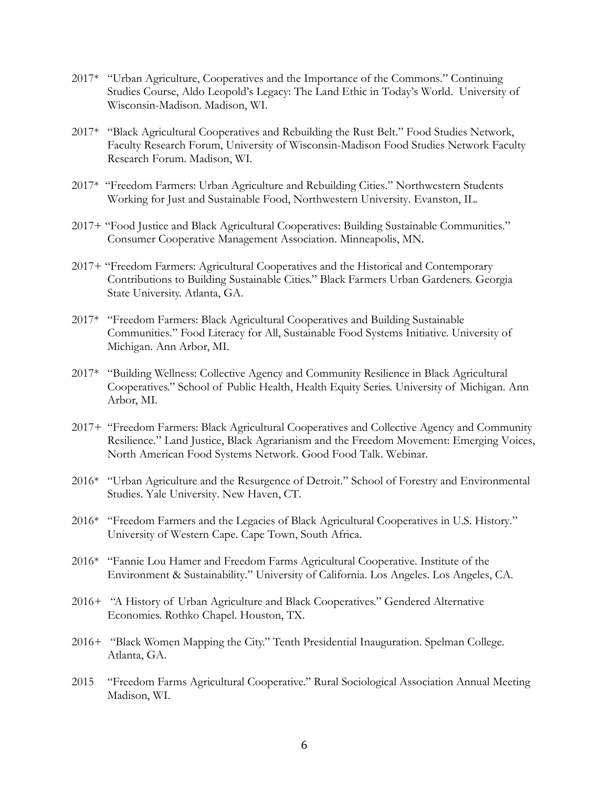- 2017\* "Urban Agriculture, Cooperatives and the Importance of the Commons." Continuing Studies Course, Aldo Leopold's Legacy: The Land Ethic in Today's World. University of Wisconsin-Madison. Madison, WI.
- 2017\* "Black Agricultural Cooperatives and Rebuilding the Rust Belt." Food Studies Network, Faculty Research Forum, University of Wisconsin-Madison Food Studies Network Faculty Research Forum. Madison, WI.
- 2017\* "Freedom Farmers: Urban Agriculture and Rebuilding Cities." Northwestern Students Working for Just and Sustainable Food, Northwestern University. Evanston, IL.
- 2017+ "Food Justice and Black Agricultural Cooperatives: Building Sustainable Communities." Consumer Cooperative Management Association. Minneapolis, MN.
- 2017+ "Freedom Farmers: Agricultural Cooperatives and the Historical and Contemporary Contributions to Building Sustainable Cities." Black Farmers Urban Gardeners. Georgia State University. Atlanta, GA.
- 2017\* "Freedom Farmers: Black Agricultural Cooperatives and Building Sustainable Communities." Food Literacy for All, Sustainable Food Systems Initiative. University of Michigan. Ann Arbor, MI.
- 2017\* "Building Wellness: Collective Agency and Community Resilience in Black Agricultural Cooperatives." School of Public Health, Health Equity Series. University of Michigan. Ann Arbor, MI.
- 2017+ "Freedom Farmers: Black Agricultural Cooperatives and Collective Agency and Community Resilience." Land Justice, Black Agrarianism and the Freedom Movement: Emerging Voices, North American Food Systems Network. Good Food Talk. Webinar.
- 2016\* "Urban Agriculture and the Resurgence of Detroit." School of Forestry and Environmental Studies. Yale University. New Haven, CT.
- 2016\* "Freedom Farmers and the Legacies of Black Agricultural Cooperatives in U.S. History." University of Western Cape. Cape Town, South Africa.
- 2016\* "Fannie Lou Hamer and Freedom Farms Agricultural Cooperative. Institute of the Environment & Sustainability." University of California. Los Angeles. Los Angeles, CA.
- 2016+ "A History of Urban Agriculture and Black Cooperatives." Gendered Alternative Economies. Rothko Chapel. Houston, TX.
- 2016+ "Black Women Mapping the City." Tenth Presidential Inauguration. Spelman College. Atlanta, GA.
- 2015 "Freedom Farms Agricultural Cooperative." Rural Sociological Association Annual Meeting Madison, WI.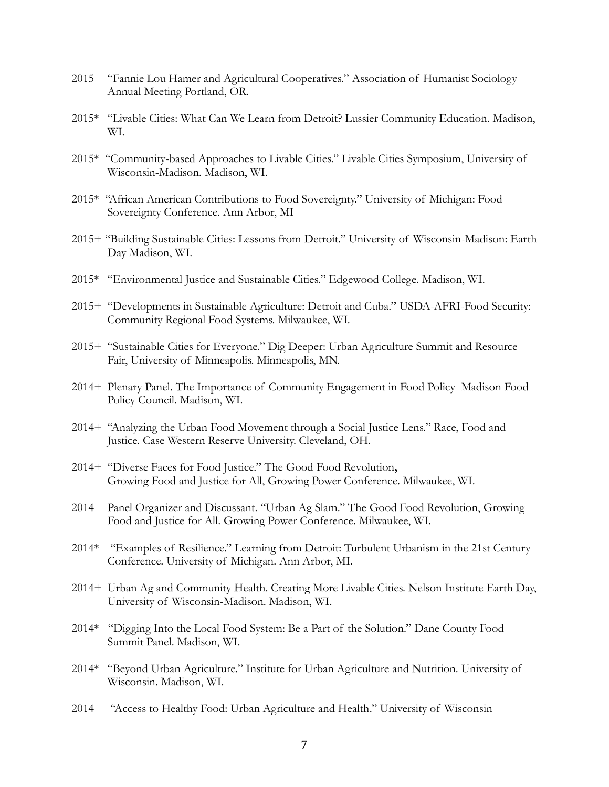- 2015 "Fannie Lou Hamer and Agricultural Cooperatives." Association of Humanist Sociology Annual Meeting Portland, OR.
- 2015\* "Livable Cities: What Can We Learn from Detroit? Lussier Community Education. Madison, WI.
- 2015\* "Community-based Approaches to Livable Cities." Livable Cities Symposium, University of Wisconsin-Madison. Madison, WI.
- 2015\* "African American Contributions to Food Sovereignty." University of Michigan: Food Sovereignty Conference. Ann Arbor, MI
- 2015+ "Building Sustainable Cities: Lessons from Detroit." University of Wisconsin-Madison: Earth Day Madison, WI.
- 2015\* "Environmental Justice and Sustainable Cities." Edgewood College. Madison, WI.
- 2015+ "Developments in Sustainable Agriculture: Detroit and Cuba." USDA-AFRI-Food Security: Community Regional Food Systems. Milwaukee, WI.
- 2015+ "Sustainable Cities for Everyone." Dig Deeper: Urban Agriculture Summit and Resource Fair, University of Minneapolis. Minneapolis, MN.
- 2014+ Plenary Panel. The Importance of Community Engagement in Food Policy Madison Food Policy Council. Madison, WI.
- 2014+ "Analyzing the Urban Food Movement through a Social Justice Lens." Race, Food and Justice. Case Western Reserve University. Cleveland, OH.
- 2014+ "Diverse Faces for Food Justice." The Good Food Revolution**,** Growing Food and Justice for All, Growing Power Conference. Milwaukee, WI.
- 2014 Panel Organizer and Discussant. "Urban Ag Slam." The Good Food Revolution, Growing Food and Justice for All. Growing Power Conference. Milwaukee, WI.
- 2014\* "Examples of Resilience." Learning from Detroit: Turbulent Urbanism in the 21st Century Conference. University of Michigan. Ann Arbor, MI.
- 2014+ Urban Ag and Community Health. Creating More Livable Cities. Nelson Institute Earth Day, University of Wisconsin-Madison. Madison, WI.
- 2014\* "Digging Into the Local Food System: Be a Part of the Solution." Dane County Food Summit Panel. Madison, WI.
- 2014\* "Beyond Urban Agriculture." Institute for Urban Agriculture and Nutrition. University of Wisconsin. Madison, WI.
- 2014 "Access to Healthy Food: Urban Agriculture and Health." University of Wisconsin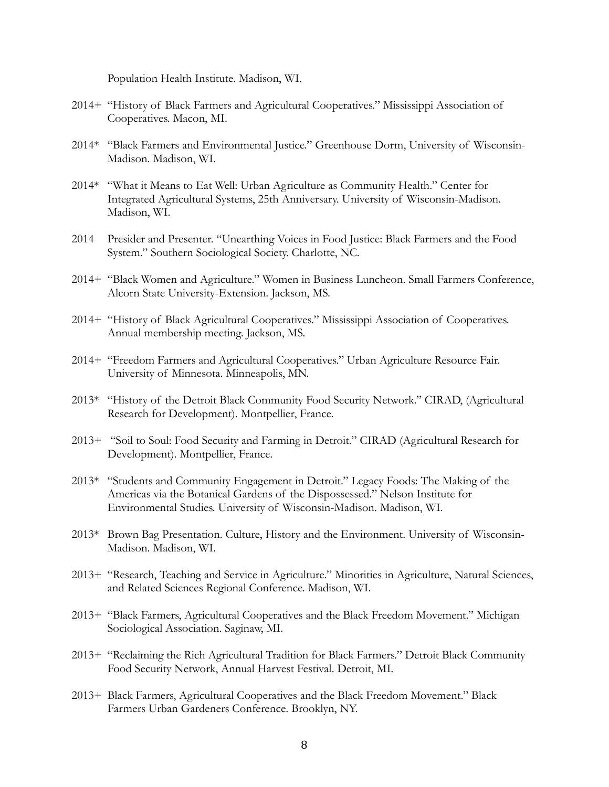Population Health Institute. Madison, WI.

- 2014+ "History of Black Farmers and Agricultural Cooperatives." Mississippi Association of Cooperatives. Macon, MI.
- 2014\* "Black Farmers and Environmental Justice." Greenhouse Dorm, University of Wisconsin-Madison. Madison, WI.
- 2014\* "What it Means to Eat Well: Urban Agriculture as Community Health." Center for Integrated Agricultural Systems, 25th Anniversary. University of Wisconsin-Madison. Madison, WI.
- 2014 Presider and Presenter. "Unearthing Voices in Food Justice: Black Farmers and the Food System." Southern Sociological Society. Charlotte, NC.
- 2014+ "Black Women and Agriculture." Women in Business Luncheon. Small Farmers Conference, Alcorn State University-Extension. Jackson, MS.
- 2014+ "History of Black Agricultural Cooperatives." Mississippi Association of Cooperatives. Annual membership meeting. Jackson, MS.
- 2014+ "Freedom Farmers and Agricultural Cooperatives." Urban Agriculture Resource Fair. University of Minnesota. Minneapolis, MN.
- 2013\* "History of the Detroit Black Community Food Security Network." CIRAD, (Agricultural Research for Development). Montpellier, France.
- 2013+ "Soil to Soul: Food Security and Farming in Detroit." CIRAD (Agricultural Research for Development). Montpellier, France.
- 2013\* "Students and Community Engagement in Detroit." Legacy Foods: The Making of the Americas via the Botanical Gardens of the Dispossessed." Nelson Institute for Environmental Studies. University of Wisconsin-Madison. Madison, WI.
- 2013\* Brown Bag Presentation. Culture, History and the Environment. University of Wisconsin-Madison. Madison, WI.
- 2013+ "Research, Teaching and Service in Agriculture." Minorities in Agriculture, Natural Sciences, and Related Sciences Regional Conference. Madison, WI.
- 2013+ "Black Farmers, Agricultural Cooperatives and the Black Freedom Movement." Michigan Sociological Association. Saginaw, MI.
- 2013+ "Reclaiming the Rich Agricultural Tradition for Black Farmers." Detroit Black Community Food Security Network, Annual Harvest Festival. Detroit, MI.
- 2013+ Black Farmers, Agricultural Cooperatives and the Black Freedom Movement." Black Farmers Urban Gardeners Conference. Brooklyn, NY.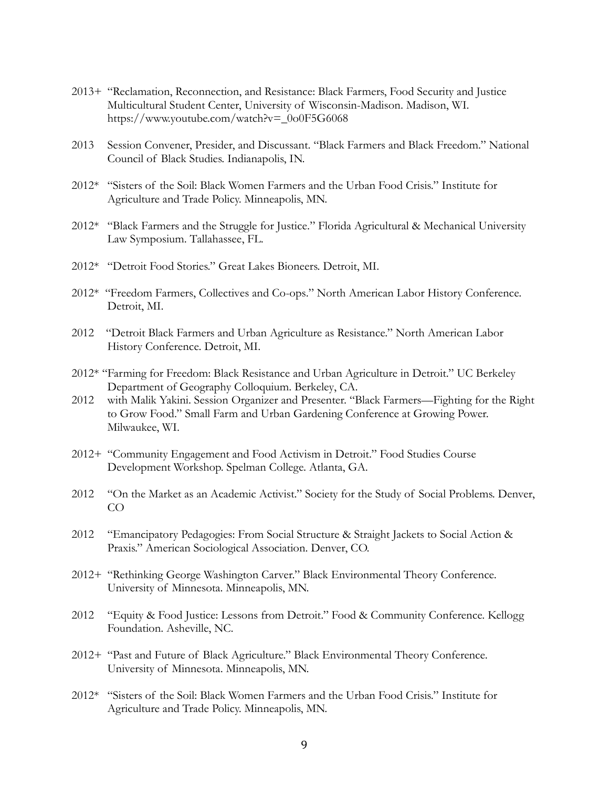- 2013+ "Reclamation, Reconnection, and Resistance: Black Farmers, Food Security and Justice Multicultural Student Center, University of Wisconsin-Madison. Madison, WI. https://www.youtube.com/watch?v=\_0o0F5G6068
- 2013 Session Convener, Presider, and Discussant. "Black Farmers and Black Freedom." National Council of Black Studies. Indianapolis, IN.
- 2012\* "Sisters of the Soil: Black Women Farmers and the Urban Food Crisis." Institute for Agriculture and Trade Policy. Minneapolis, MN.
- 2012\* "Black Farmers and the Struggle for Justice." Florida Agricultural & Mechanical University Law Symposium. Tallahassee, FL.
- 2012\* "Detroit Food Stories." Great Lakes Bioneers. Detroit, MI.
- 2012\* "Freedom Farmers, Collectives and Co-ops." North American Labor History Conference. Detroit, MI.
- 2012 "Detroit Black Farmers and Urban Agriculture as Resistance." North American Labor History Conference. Detroit, MI.
- 2012\* "Farming for Freedom: Black Resistance and Urban Agriculture in Detroit." UC Berkeley Department of Geography Colloquium. Berkeley, CA.
- 2012 with Malik Yakini. Session Organizer and Presenter. "Black Farmers—Fighting for the Right to Grow Food." Small Farm and Urban Gardening Conference at Growing Power. Milwaukee, WI.
- 2012+ "Community Engagement and Food Activism in Detroit." Food Studies Course Development Workshop. Spelman College. Atlanta, GA.
- 2012 "On the Market as an Academic Activist." Society for the Study of Social Problems. Denver, CO
- 2012 "Emancipatory Pedagogies: From Social Structure & Straight Jackets to Social Action & Praxis." American Sociological Association. Denver, CO.
- 2012+ "Rethinking George Washington Carver." Black Environmental Theory Conference. University of Minnesota. Minneapolis, MN.
- 2012 "Equity & Food Justice: Lessons from Detroit." Food & Community Conference. Kellogg Foundation. Asheville, NC.
- 2012+ "Past and Future of Black Agriculture." Black Environmental Theory Conference. University of Minnesota. Minneapolis, MN.
- 2012\* "Sisters of the Soil: Black Women Farmers and the Urban Food Crisis." Institute for Agriculture and Trade Policy. Minneapolis, MN.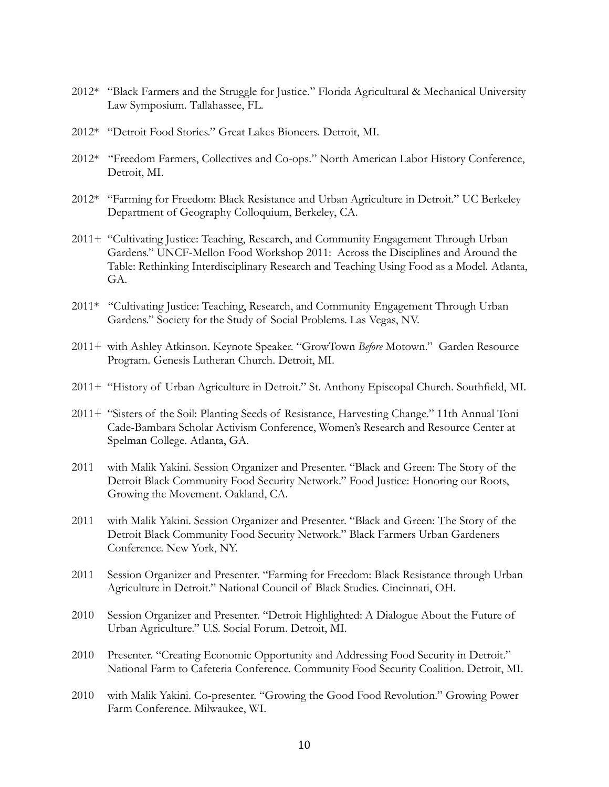- 2012\* "Black Farmers and the Struggle for Justice." Florida Agricultural & Mechanical University Law Symposium. Tallahassee, FL.
- 2012\* "Detroit Food Stories." Great Lakes Bioneers. Detroit, MI.
- 2012\* "Freedom Farmers, Collectives and Co-ops." North American Labor History Conference, Detroit, MI.
- 2012\* "Farming for Freedom: Black Resistance and Urban Agriculture in Detroit." UC Berkeley Department of Geography Colloquium, Berkeley, CA.
- 2011+ "Cultivating Justice: Teaching, Research, and Community Engagement Through Urban Gardens." UNCF-Mellon Food Workshop 2011: Across the Disciplines and Around the Table: Rethinking Interdisciplinary Research and Teaching Using Food as a Model. Atlanta, GA.
- 2011\* "Cultivating Justice: Teaching, Research, and Community Engagement Through Urban Gardens." Society for the Study of Social Problems. Las Vegas, NV.
- 2011+ with Ashley Atkinson. Keynote Speaker. "GrowTown *Before* Motown." Garden Resource Program. Genesis Lutheran Church. Detroit, MI.
- 2011+ "History of Urban Agriculture in Detroit." St. Anthony Episcopal Church. Southfield, MI.
- 2011+ "Sisters of the Soil: Planting Seeds of Resistance, Harvesting Change." 11th Annual Toni Cade-Bambara Scholar Activism Conference, Women's Research and Resource Center at Spelman College. Atlanta, GA.
- 2011 with Malik Yakini. Session Organizer and Presenter. "Black and Green: The Story of the Detroit Black Community Food Security Network." Food Justice: Honoring our Roots, Growing the Movement. Oakland, CA.
- 2011 with Malik Yakini. Session Organizer and Presenter. "Black and Green: The Story of the Detroit Black Community Food Security Network." Black Farmers Urban Gardeners Conference. New York, NY.
- 2011 Session Organizer and Presenter. "Farming for Freedom: Black Resistance through Urban Agriculture in Detroit." National Council of Black Studies. Cincinnati, OH.
- 2010 Session Organizer and Presenter. "Detroit Highlighted: A Dialogue About the Future of Urban Agriculture." U.S. Social Forum. Detroit, MI.
- 2010 Presenter. "Creating Economic Opportunity and Addressing Food Security in Detroit." National Farm to Cafeteria Conference. Community Food Security Coalition. Detroit, MI.
- 2010 with Malik Yakini. Co-presenter. "Growing the Good Food Revolution." Growing Power Farm Conference. Milwaukee, WI.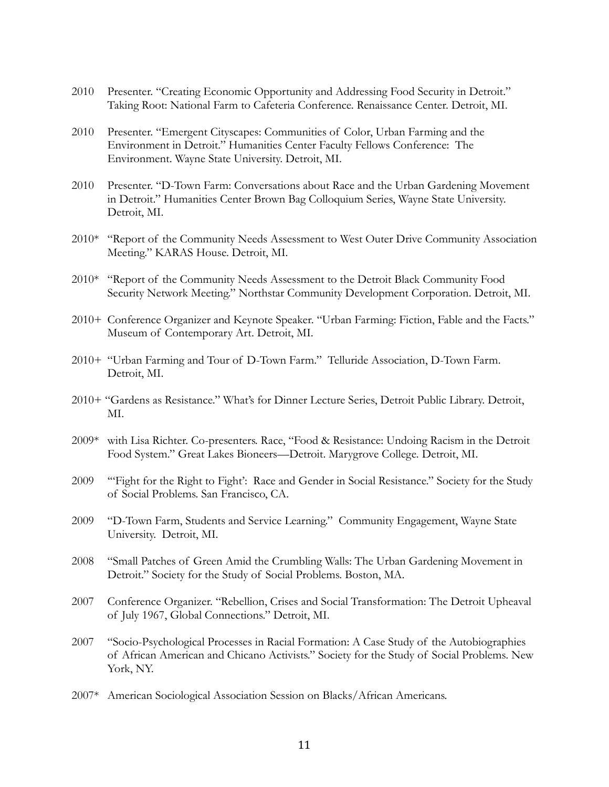- 2010 Presenter. "Creating Economic Opportunity and Addressing Food Security in Detroit." Taking Root: National Farm to Cafeteria Conference. Renaissance Center. Detroit, MI.
- 2010 Presenter. "Emergent Cityscapes: Communities of Color, Urban Farming and the Environment in Detroit." Humanities Center Faculty Fellows Conference: The Environment. Wayne State University. Detroit, MI.
- 2010 Presenter. "D-Town Farm: Conversations about Race and the Urban Gardening Movement in Detroit." Humanities Center Brown Bag Colloquium Series, Wayne State University. Detroit, MI.
- 2010\* "Report of the Community Needs Assessment to West Outer Drive Community Association Meeting." KARAS House. Detroit, MI.
- 2010\* "Report of the Community Needs Assessment to the Detroit Black Community Food Security Network Meeting." Northstar Community Development Corporation. Detroit, MI.
- 2010+ Conference Organizer and Keynote Speaker. "Urban Farming: Fiction, Fable and the Facts." Museum of Contemporary Art. Detroit, MI.
- 2010+ "Urban Farming and Tour of D-Town Farm." Telluride Association, D-Town Farm. Detroit, MI.
- 2010+ "Gardens as Resistance." What's for Dinner Lecture Series, Detroit Public Library. Detroit, MI.
- 2009\* with Lisa Richter. Co-presenters. Race, "Food & Resistance: Undoing Racism in the Detroit Food System." Great Lakes Bioneers—Detroit. Marygrove College. Detroit, MI.
- 2009 '"Fight for the Right to Fight': Race and Gender in Social Resistance." Society for the Study of Social Problems. San Francisco, CA.
- 2009 "D-Town Farm, Students and Service Learning." Community Engagement, Wayne State University. Detroit, MI.
- 2008 "Small Patches of Green Amid the Crumbling Walls: The Urban Gardening Movement in Detroit." Society for the Study of Social Problems. Boston, MA.
- 2007 Conference Organizer. "Rebellion, Crises and Social Transformation: The Detroit Upheaval of July 1967, Global Connections." Detroit, MI.
- 2007 "Socio-Psychological Processes in Racial Formation: A Case Study of the Autobiographies of African American and Chicano Activists." Society for the Study of Social Problems. New York, NY.
- 2007\* American Sociological Association Session on Blacks/African Americans.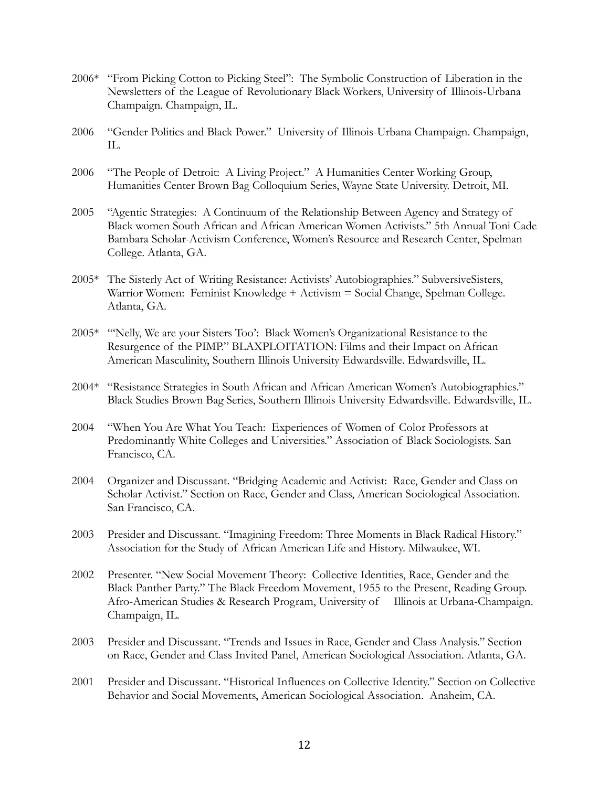- 2006\* "From Picking Cotton to Picking Steel": The Symbolic Construction of Liberation in the Newsletters of the League of Revolutionary Black Workers, University of Illinois-Urbana Champaign. Champaign, IL.
- 2006 "Gender Politics and Black Power." University of Illinois-Urbana Champaign. Champaign,  $\Pi$ .
- 2006 "The People of Detroit: A Living Project." A Humanities Center Working Group, Humanities Center Brown Bag Colloquium Series, Wayne State University. Detroit, MI.
- 2005 "Agentic Strategies: A Continuum of the Relationship Between Agency and Strategy of Black women South African and African American Women Activists." 5th Annual Toni Cade Bambara Scholar-Activism Conference, Women's Resource and Research Center, Spelman College. Atlanta, GA.
- 2005\* The Sisterly Act of Writing Resistance: Activists' Autobiographies." SubversiveSisters, Warrior Women: Feminist Knowledge + Activism = Social Change, Spelman College. Atlanta, GA.
- 2005\* "'Nelly, We are your Sisters Too': Black Women's Organizational Resistance to the Resurgence of the PIMP." BLAXPLOITATION: Films and their Impact on African American Masculinity, Southern Illinois University Edwardsville. Edwardsville, IL.
- 2004\* "Resistance Strategies in South African and African American Women's Autobiographies." Black Studies Brown Bag Series, Southern Illinois University Edwardsville. Edwardsville, IL.
- 2004 "When You Are What You Teach: Experiences of Women of Color Professors at Predominantly White Colleges and Universities." Association of Black Sociologists. San Francisco, CA.
- 2004 Organizer and Discussant. "Bridging Academic and Activist: Race, Gender and Class on Scholar Activist." Section on Race, Gender and Class, American Sociological Association. San Francisco, CA.
- 2003 Presider and Discussant. "Imagining Freedom: Three Moments in Black Radical History." Association for the Study of African American Life and History. Milwaukee, WI.
- 2002 Presenter. "New Social Movement Theory: Collective Identities, Race, Gender and the Black Panther Party." The Black Freedom Movement, 1955 to the Present, Reading Group. Afro-American Studies & Research Program, University of Illinois at Urbana-Champaign. Champaign, IL.
- 2003 Presider and Discussant. "Trends and Issues in Race, Gender and Class Analysis." Section on Race, Gender and Class Invited Panel, American Sociological Association. Atlanta, GA.
- 2001 Presider and Discussant. "Historical Influences on Collective Identity." Section on Collective Behavior and Social Movements, American Sociological Association. Anaheim, CA.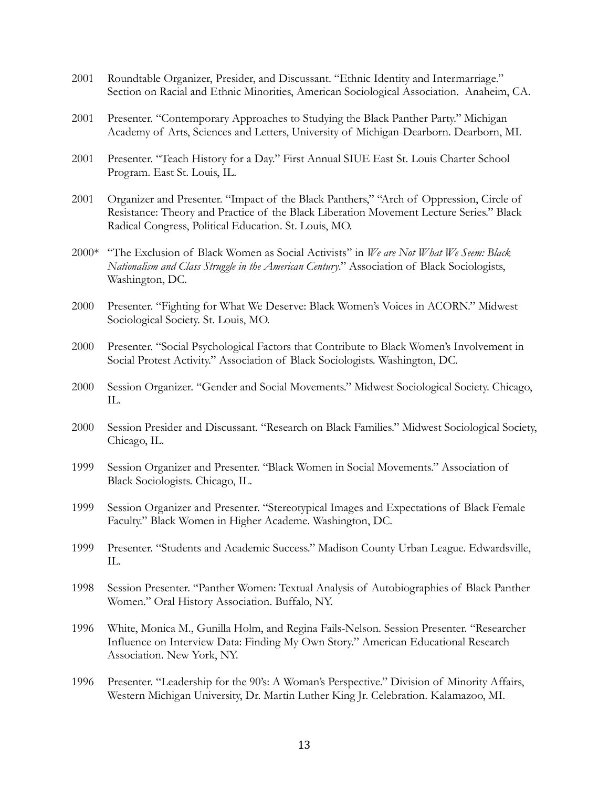- 2001 Roundtable Organizer, Presider, and Discussant. "Ethnic Identity and Intermarriage." Section on Racial and Ethnic Minorities, American Sociological Association. Anaheim, CA.
- 2001 Presenter. "Contemporary Approaches to Studying the Black Panther Party." Michigan Academy of Arts, Sciences and Letters, University of Michigan-Dearborn. Dearborn, MI.
- 2001 Presenter. "Teach History for a Day." First Annual SIUE East St. Louis Charter School Program. East St. Louis, IL.
- 2001 Organizer and Presenter. "Impact of the Black Panthers," "Arch of Oppression, Circle of Resistance: Theory and Practice of the Black Liberation Movement Lecture Series." Black Radical Congress, Political Education. St. Louis, MO.
- 2000\* "The Exclusion of Black Women as Social Activists" in *We are Not What We Seem: Black Nationalism and Class Struggle in the American Century*." Association of Black Sociologists, Washington, DC.
- 2000 Presenter. "Fighting for What We Deserve: Black Women's Voices in ACORN." Midwest Sociological Society. St. Louis, MO.
- 2000 Presenter. "Social Psychological Factors that Contribute to Black Women's Involvement in Social Protest Activity." Association of Black Sociologists. Washington, DC.
- 2000 Session Organizer. "Gender and Social Movements." Midwest Sociological Society. Chicago, IL.
- 2000 Session Presider and Discussant. "Research on Black Families." Midwest Sociological Society, Chicago, IL.
- 1999 Session Organizer and Presenter. "Black Women in Social Movements." Association of Black Sociologists. Chicago, IL.
- 1999 Session Organizer and Presenter. "Stereotypical Images and Expectations of Black Female Faculty." Black Women in Higher Academe. Washington, DC.
- 1999 Presenter. "Students and Academic Success." Madison County Urban League. Edwardsville,  $\Pi$ .
- 1998 Session Presenter. "Panther Women: Textual Analysis of Autobiographies of Black Panther Women." Oral History Association. Buffalo, NY.
- 1996 White, Monica M., Gunilla Holm, and Regina Fails-Nelson. Session Presenter. "Researcher Influence on Interview Data: Finding My Own Story." American Educational Research Association. New York, NY.
- 1996 Presenter. "Leadership for the 90's: A Woman's Perspective." Division of Minority Affairs, Western Michigan University, Dr. Martin Luther King Jr. Celebration. Kalamazoo, MI.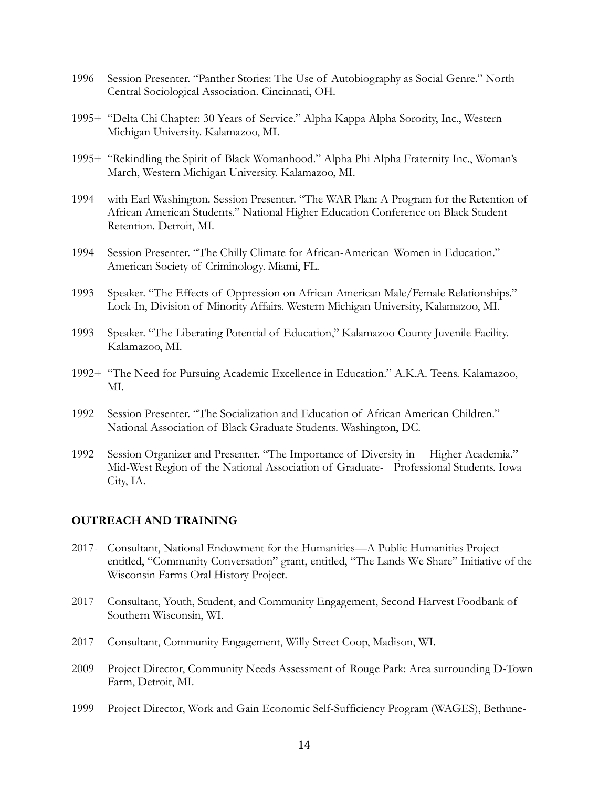- 1996 Session Presenter. "Panther Stories: The Use of Autobiography as Social Genre." North Central Sociological Association. Cincinnati, OH.
- 1995+ "Delta Chi Chapter: 30 Years of Service." Alpha Kappa Alpha Sorority, Inc., Western Michigan University. Kalamazoo, MI.
- 1995+ "Rekindling the Spirit of Black Womanhood." Alpha Phi Alpha Fraternity Inc., Woman's March, Western Michigan University. Kalamazoo, MI.
- 1994 with Earl Washington. Session Presenter. "The WAR Plan: A Program for the Retention of African American Students." National Higher Education Conference on Black Student Retention. Detroit, MI.
- 1994 Session Presenter. "The Chilly Climate for African-American Women in Education." American Society of Criminology. Miami, FL.
- 1993 Speaker. "The Effects of Oppression on African American Male/Female Relationships." Lock-In, Division of Minority Affairs. Western Michigan University, Kalamazoo, MI.
- 1993 Speaker. "The Liberating Potential of Education," Kalamazoo County Juvenile Facility. Kalamazoo, MI.
- 1992+ "The Need for Pursuing Academic Excellence in Education." A.K.A. Teens. Kalamazoo, MI.
- 1992 Session Presenter. "The Socialization and Education of African American Children." National Association of Black Graduate Students. Washington, DC.
- 1992 Session Organizer and Presenter. "The Importance of Diversity in Higher Academia." Mid-West Region of the National Association of Graduate- Professional Students. Iowa City, IA.

### **OUTREACH AND TRAINING**

- 2017- Consultant, National Endowment for the Humanities—A Public Humanities Project entitled, "Community Conversation" grant, entitled, "The Lands We Share" Initiative of the Wisconsin Farms Oral History Project.
- 2017 Consultant, Youth, Student, and Community Engagement, Second Harvest Foodbank of Southern Wisconsin, WI.
- 2017 Consultant, Community Engagement, Willy Street Coop, Madison, WI.
- 2009 Project Director, Community Needs Assessment of Rouge Park: Area surrounding D-Town Farm, Detroit, MI.
- 1999 Project Director, Work and Gain Economic Self-Sufficiency Program (WAGES), Bethune-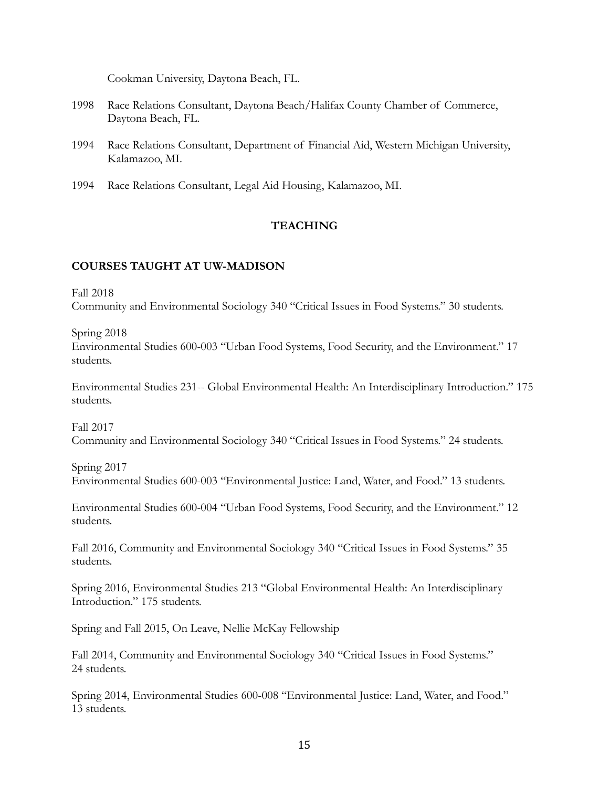Cookman University, Daytona Beach, FL.

- 1998 Race Relations Consultant, Daytona Beach/Halifax County Chamber of Commerce, Daytona Beach, FL.
- 1994 Race Relations Consultant, Department of Financial Aid, Western Michigan University, Kalamazoo, MI.
- 1994 Race Relations Consultant, Legal Aid Housing, Kalamazoo, MI.

# **TEACHING**

# **COURSES TAUGHT AT UW-MADISON**

Fall 2018

Community and Environmental Sociology 340 "Critical Issues in Food Systems." 30 students.

Spring 2018

Environmental Studies 600-003 "Urban Food Systems, Food Security, and the Environment." 17 students.

Environmental Studies 231-- Global Environmental Health: An Interdisciplinary Introduction." 175 students.

Fall 2017 Community and Environmental Sociology 340 "Critical Issues in Food Systems." 24 students.

Spring 2017 Environmental Studies 600-003 "Environmental Justice: Land, Water, and Food." 13 students.

Environmental Studies 600-004 "Urban Food Systems, Food Security, and the Environment." 12 students.

Fall 2016, Community and Environmental Sociology 340 "Critical Issues in Food Systems." 35 students.

Spring 2016, Environmental Studies 213 "Global Environmental Health: An Interdisciplinary Introduction." 175 students.

Spring and Fall 2015, On Leave, Nellie McKay Fellowship

Fall 2014, Community and Environmental Sociology 340 "Critical Issues in Food Systems." 24 students.

Spring 2014, Environmental Studies 600-008 "Environmental Justice: Land, Water, and Food." 13 students.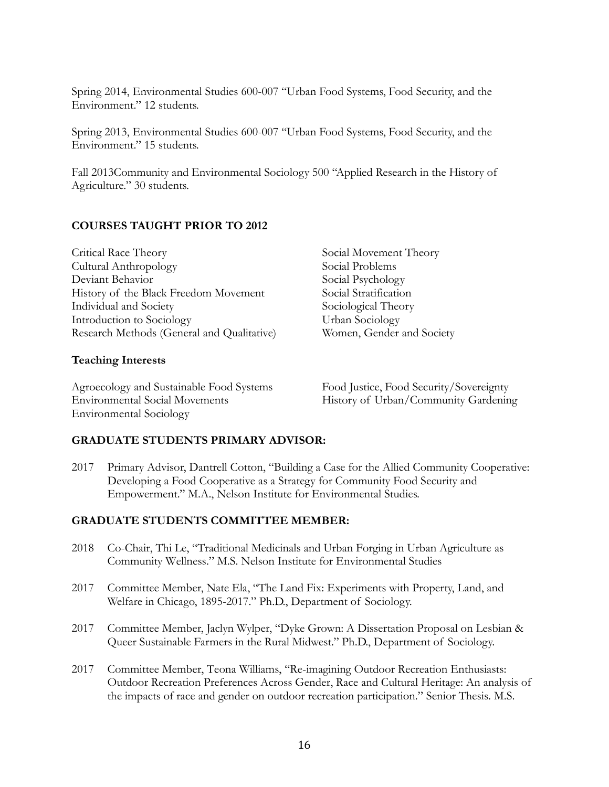Spring 2014, Environmental Studies 600-007 "Urban Food Systems, Food Security, and the Environment." 12 students.

Spring 2013, Environmental Studies 600-007 "Urban Food Systems, Food Security, and the Environment." 15 students.

Fall 2013Community and Environmental Sociology 500 "Applied Research in the History of Agriculture." 30 students.

# **COURSES TAUGHT PRIOR TO 2012**

# **Teaching Interests**

Agroecology and Sustainable Food Systems Food Justice, Food Security/Sovereignty Environmental Social Movements History of Urban/Community Gardening Environmental Sociology

Social Movement Theory Social Problems Social Psychology Social Stratification Sociological Theory Urban Sociology Women, Gender and Society

# **GRADUATE STUDENTS PRIMARY ADVISOR:**

2017 Primary Advisor, Dantrell Cotton, "Building a Case for the Allied Community Cooperative: Developing a Food Cooperative as a Strategy for Community Food Security and Empowerment." M.A., Nelson Institute for Environmental Studies.

### **GRADUATE STUDENTS COMMITTEE MEMBER:**

- 2018 Co-Chair, Thi Le, "Traditional Medicinals and Urban Forging in Urban Agriculture as Community Wellness." M.S. Nelson Institute for Environmental Studies
- 2017 Committee Member, Nate Ela, "The Land Fix: Experiments with Property, Land, and Welfare in Chicago, 1895-2017." Ph.D., Department of Sociology.
- 2017 Committee Member, Jaclyn Wylper, "Dyke Grown: A Dissertation Proposal on Lesbian & Queer Sustainable Farmers in the Rural Midwest." Ph.D., Department of Sociology.
- 2017 Committee Member, Teona Williams, "Re-imagining Outdoor Recreation Enthusiasts: Outdoor Recreation Preferences Across Gender, Race and Cultural Heritage: An analysis of the impacts of race and gender on outdoor recreation participation." Senior Thesis. M.S.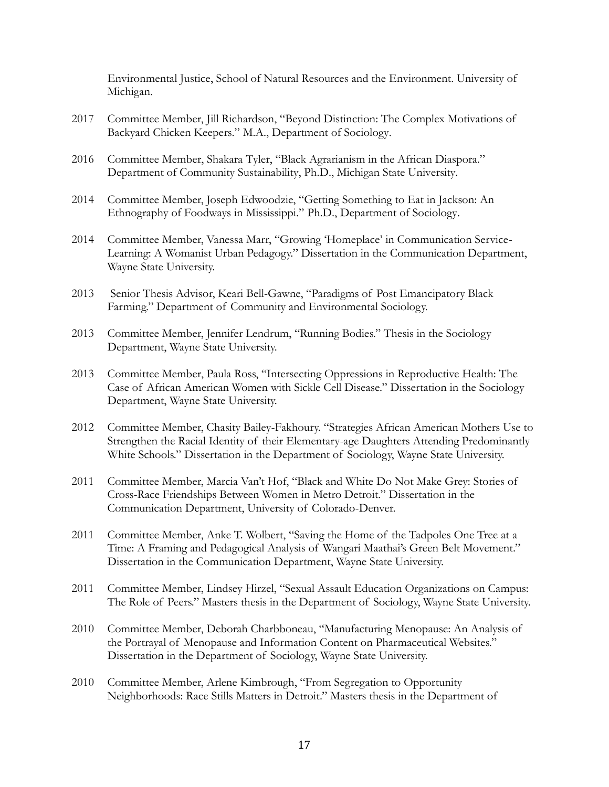Environmental Justice, School of Natural Resources and the Environment. University of Michigan.

- 2017 Committee Member, Jill Richardson, "Beyond Distinction: The Complex Motivations of Backyard Chicken Keepers." M.A., Department of Sociology.
- 2016 Committee Member, Shakara Tyler, "Black Agrarianism in the African Diaspora." Department of Community Sustainability, Ph.D., Michigan State University.
- 2014 Committee Member, Joseph Edwoodzie, "Getting Something to Eat in Jackson: An Ethnography of Foodways in Mississippi." Ph.D., Department of Sociology.
- 2014 Committee Member, Vanessa Marr, "Growing 'Homeplace' in Communication Service-Learning: A Womanist Urban Pedagogy." Dissertation in the Communication Department, Wayne State University.
- 2013 Senior Thesis Advisor, Keari Bell-Gawne, "Paradigms of Post Emancipatory Black Farming." Department of Community and Environmental Sociology.
- 2013 Committee Member, Jennifer Lendrum, "Running Bodies." Thesis in the Sociology Department, Wayne State University.
- 2013 Committee Member, Paula Ross, "Intersecting Oppressions in Reproductive Health: The Case of African American Women with Sickle Cell Disease." Dissertation in the Sociology Department, Wayne State University.
- 2012 Committee Member, Chasity Bailey-Fakhoury. "Strategies African American Mothers Use to Strengthen the Racial Identity of their Elementary-age Daughters Attending Predominantly White Schools." Dissertation in the Department of Sociology, Wayne State University.
- 2011 Committee Member, Marcia Van't Hof, "Black and White Do Not Make Grey: Stories of Cross-Race Friendships Between Women in Metro Detroit." Dissertation in the Communication Department, University of Colorado-Denver.
- 2011 Committee Member, Anke T. Wolbert, "Saving the Home of the Tadpoles One Tree at a Time: A Framing and Pedagogical Analysis of Wangari Maathai's Green Belt Movement." Dissertation in the Communication Department, Wayne State University.
- 2011 Committee Member, Lindsey Hirzel, "Sexual Assault Education Organizations on Campus: The Role of Peers." Masters thesis in the Department of Sociology, Wayne State University.
- 2010 Committee Member, Deborah Charbboneau, "Manufacturing Menopause: An Analysis of the Portrayal of Menopause and Information Content on Pharmaceutical Websites." Dissertation in the Department of Sociology, Wayne State University.
- 2010 Committee Member, Arlene Kimbrough, "From Segregation to Opportunity Neighborhoods: Race Stills Matters in Detroit." Masters thesis in the Department of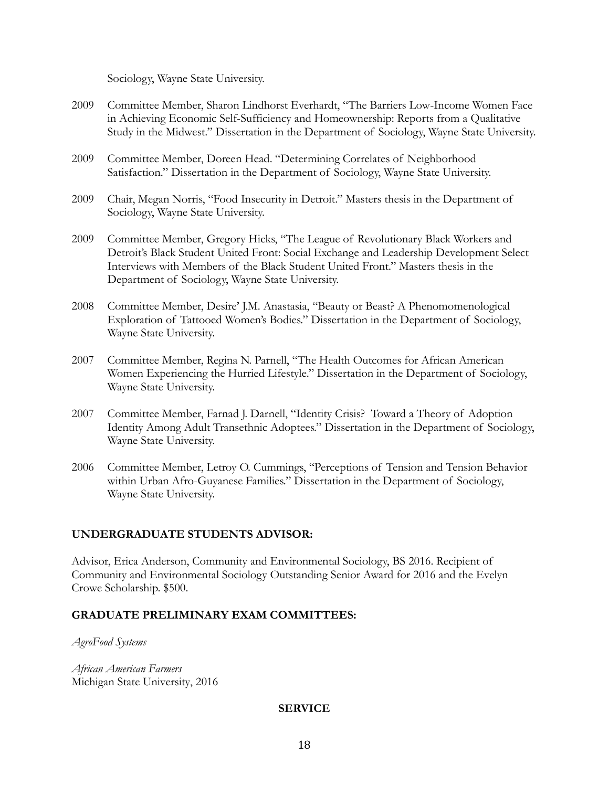Sociology, Wayne State University.

- 2009 Committee Member, Sharon Lindhorst Everhardt, "The Barriers Low-Income Women Face in Achieving Economic Self-Sufficiency and Homeownership: Reports from a Qualitative Study in the Midwest." Dissertation in the Department of Sociology, Wayne State University.
- 2009 Committee Member, Doreen Head. "Determining Correlates of Neighborhood Satisfaction." Dissertation in the Department of Sociology, Wayne State University.
- 2009 Chair, Megan Norris, "Food Insecurity in Detroit." Masters thesis in the Department of Sociology, Wayne State University.
- 2009 Committee Member, Gregory Hicks, "The League of Revolutionary Black Workers and Detroit's Black Student United Front: Social Exchange and Leadership Development Select Interviews with Members of the Black Student United Front." Masters thesis in the Department of Sociology, Wayne State University.
- 2008 Committee Member, Desire' J.M. Anastasia, "Beauty or Beast? A Phenomomenological Exploration of Tattooed Women's Bodies." Dissertation in the Department of Sociology, Wayne State University.
- 2007 Committee Member, Regina N. Parnell, "The Health Outcomes for African American Women Experiencing the Hurried Lifestyle." Dissertation in the Department of Sociology, Wayne State University.
- 2007 Committee Member, Farnad J. Darnell, "Identity Crisis? Toward a Theory of Adoption Identity Among Adult Transethnic Adoptees." Dissertation in the Department of Sociology, Wayne State University.
- 2006 Committee Member, Letroy O. Cummings, "Perceptions of Tension and Tension Behavior within Urban Afro-Guyanese Families." Dissertation in the Department of Sociology, Wayne State University.

# **UNDERGRADUATE STUDENTS ADVISOR:**

Advisor, Erica Anderson, Community and Environmental Sociology, BS 2016. Recipient of Community and Environmental Sociology Outstanding Senior Award for 2016 and the Evelyn Crowe Scholarship. \$500.

# **GRADUATE PRELIMINARY EXAM COMMITTEES:**

*AgroFood Systems*

*African American Farmers*  Michigan State University, 2016

# **SERVICE**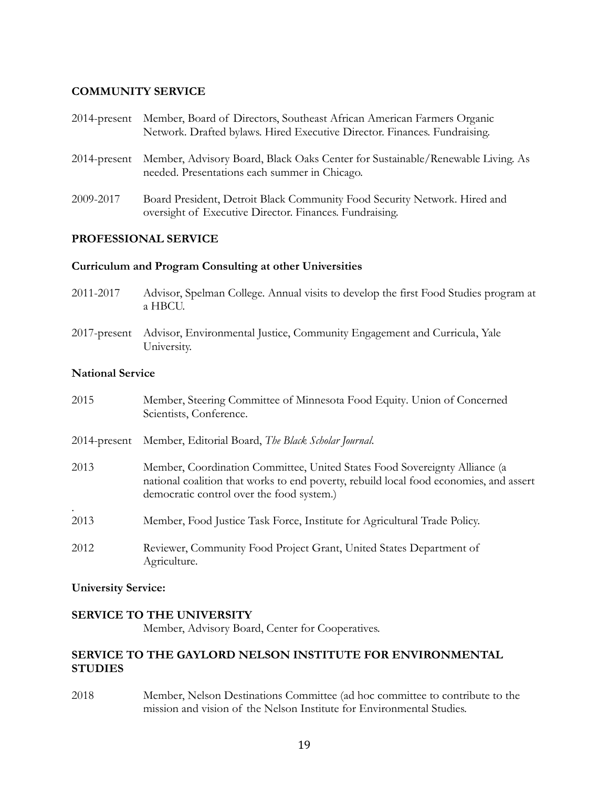### **COMMUNITY SERVICE**

| $2014$ -present | Member, Board of Directors, Southeast African American Farmers Organic<br>Network. Drafted bylaws. Hired Executive Director. Finances. Fundraising. |
|-----------------|-----------------------------------------------------------------------------------------------------------------------------------------------------|
| $2014$ -present | Member, Advisory Board, Black Oaks Center for Sustainable/Renewable Living. As<br>needed. Presentations each summer in Chicago.                     |
| 2009-2017       | Board President, Detroit Black Community Food Security Network. Hired and<br>oversight of Executive Director. Finances. Fundraising.                |

### **PROFESSIONAL SERVICE**

### **Curriculum and Program Consulting at other Universities**

- 2011-2017 Advisor, Spelman College. Annual visits to develop the first Food Studies program at a HBCU.
- 2017-present Advisor, Environmental Justice, Community Engagement and Curricula, Yale University.

### **National Service**

| 2015              | Member, Steering Committee of Minnesota Food Equity. Union of Concerned<br>Scientists, Conference.                                                                                                                |
|-------------------|-------------------------------------------------------------------------------------------------------------------------------------------------------------------------------------------------------------------|
| 2014-present      | Member, Editorial Board, The Black Scholar Journal.                                                                                                                                                               |
| 2013              | Member, Coordination Committee, United States Food Sovereignty Alliance (a<br>national coalition that works to end poverty, rebuild local food economies, and assert<br>democratic control over the food system.) |
| $\bullet$<br>2013 | Member, Food Justice Task Force, Institute for Agricultural Trade Policy.                                                                                                                                         |
| 2012              | Reviewer, Community Food Project Grant, United States Department of<br>Agriculture.                                                                                                                               |

### **University Service:**

# **SERVICE TO THE UNIVERSITY**

Member, Advisory Board, Center for Cooperatives.

# **SERVICE TO THE GAYLORD NELSON INSTITUTE FOR ENVIRONMENTAL STUDIES**

2018 Member, Nelson Destinations Committee (ad hoc committee to contribute to the mission and vision of the Nelson Institute for Environmental Studies.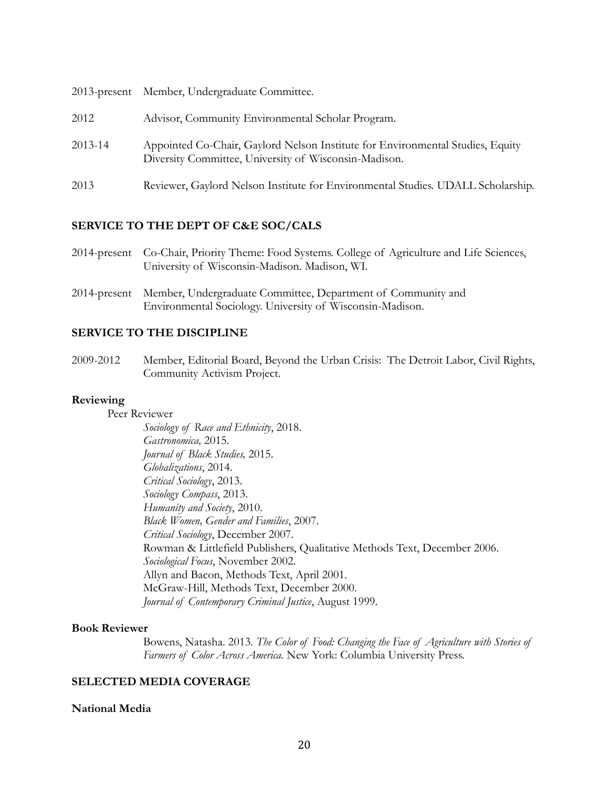|         | 2013-present Member, Undergraduate Committee.                                                                                           |
|---------|-----------------------------------------------------------------------------------------------------------------------------------------|
| 2012    | Advisor, Community Environmental Scholar Program.                                                                                       |
| 2013-14 | Appointed Co-Chair, Gaylord Nelson Institute for Environmental Studies, Equity<br>Diversity Committee, University of Wisconsin-Madison. |
| 2013    | Reviewer, Gaylord Nelson Institute for Environmental Studies. UDALL Scholarship.                                                        |

### **SERVICE TO THE DEPT OF C&E SOC/CALS**

| 2014-present Co-Chair, Priority Theme: Food Systems. College of Agriculture and Life Sciences, |
|------------------------------------------------------------------------------------------------|
| University of Wisconsin-Madison. Madison, WI.                                                  |

2014-present Member, Undergraduate Committee, Department of Community and Environmental Sociology. University of Wisconsin-Madison.

### **SERVICE TO THE DISCIPLINE**

2009-2012 Member, Editorial Board, Beyond the Urban Crisis: The Detroit Labor, Civil Rights, Community Activism Project.

### **Reviewing**

Peer Reviewer

*Sociology of Race and Ethnicity*, 2018. *Gastronomica,* 2015. *Journal of Black Studies,* 2015. *Globalizations*, 2014. *Critical Sociology*, 2013. *Sociology Compass*, 2013. *Humanity and Society*, 2010. *Black Women, Gender and Families*, 2007. *Critical Sociology*, December 2007. Rowman & Littlefield Publishers, Qualitative Methods Text, December 2006. *Sociological Focus*, November 2002. Allyn and Bacon, Methods Text, April 2001. McGraw-Hill, Methods Text, December 2000. *Journal of Contemporary Criminal Justice*, August 1999.

### **Book Reviewer**

Bowens, Natasha. 2013. *The Color of Food: Changing the Face of Agriculture with Stories of Farmers of Color Across America.* New York: Columbia University Press.

#### **SELECTED MEDIA COVERAGE**

#### **National Media**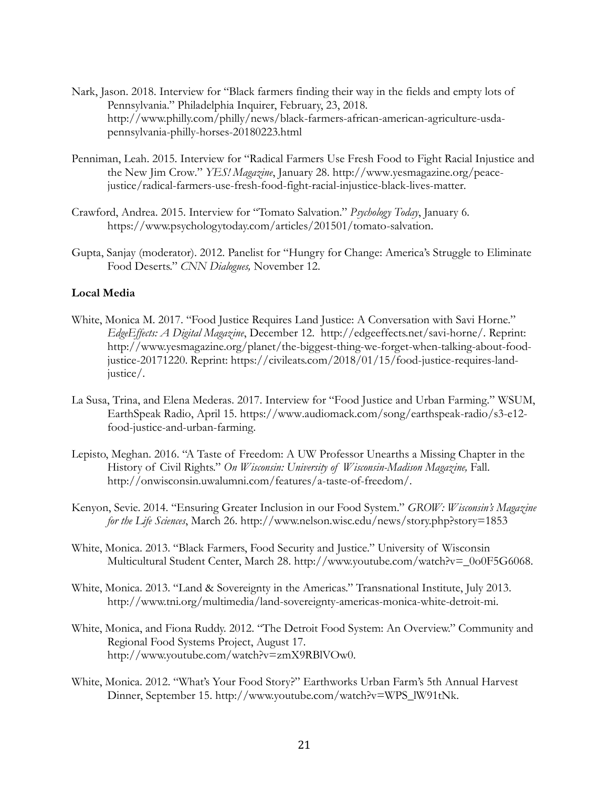- Nark, Jason. 2018. Interview for "Black farmers finding their way in the fields and empty lots of Pennsylvania." Philadelphia Inquirer, February, 23, 2018. http://www.philly.com/philly/news/black-farmers-african-american-agriculture-usdapennsylvania-philly-horses-20180223.html
- Penniman, Leah. 2015. Interview for "Radical Farmers Use Fresh Food to Fight Racial Injustice and the New Jim Crow." *YES! Magazine*, January 28. [http://www.yesmagazine.org/peace](http://www.yesmagazine.org/peace-justice/radical-farmers-use-fresh-food-fight-racial-injustice-black-lives-matter)[justice/radical-farmers-use-fresh-food-fight-racial-injustice-black-lives-matter.](http://www.yesmagazine.org/peace-justice/radical-farmers-use-fresh-food-fight-racial-injustice-black-lives-matter)
- Crawford, Andrea. 2015. Interview for "Tomato Salvation." *Psychology Today*, January 6*.*  [https://www.psychologytoday.com/articles/201501/tomato-salvation.](https://www.psychologytoday.com/articles/201501/tomato-salvation)
- Gupta, Sanjay (moderator). 2012. Panelist for "Hungry for Change: America's Struggle to Eliminate Food Deserts." *CNN Dialogues,* November 12.

### **Local Media**

- White, Monica M. 2017. "Food Justice Requires Land Justice: A Conversation with Savi Horne." *EdgeEffects: A Digital Magazine*, December 12. http://edgeeffects.net/savi-horne/. Reprint: http://www.yesmagazine.org/planet/the-biggest-thing-we-forget-when-talking-about-foodjustice-20171220. Reprint: https://civileats.com/2018/01/15/food-justice-requires-landjustice/.
- La Susa, Trina, and Elena Mederas. 2017. Interview for "Food Justice and Urban Farming." WSUM, EarthSpeak Radio, April 15. [https://www.audiomack.com/song/earthspeak-radio/s3-e12](https://www.audiomack.com/song/earthspeak-radio/s3-e12-food-justice-and-urban-farming) [food-justice-and-urban-farming.](https://www.audiomack.com/song/earthspeak-radio/s3-e12-food-justice-and-urban-farming)
- Lepisto, Meghan. 2016. "A Taste of Freedom: A UW Professor Unearths a Missing Chapter in the History of Civil Rights." *On Wisconsin: University of Wisconsin-Madison Magazine,* Fall. http://onwisconsin.uwalumni.com/features/a-taste-of-freedom/.
- Kenyon, Sevie. 2014. "Ensuring Greater Inclusion in our Food System." *GROW: Wisconsin's Magazine for the Life Sciences*, March 26. http://www.nelson.wisc.edu/news/story.php?story=1853
- White, Monica. 2013. "Black Farmers, Food Security and Justice." University of Wisconsin Multicultural Student Center, March 28. [http://www.youtube.com/watch?v=\\_0o0F5G6068.](http://www.youtube.com/watch?v=_0o0F5G6068)
- White, Monica. 2013. "Land & Sovereignty in the Americas." Transnational Institute, July 2013. http://www.tni.org/multimedia/land-sovereignty-americas-monica-white-detroit-mi.
- White, Monica, and Fiona Ruddy. 2012. "The Detroit Food System: An Overview." Community and Regional Food Systems Project, August 17. http://www.youtube.com/watch?v=zmX9RBlVOw0.
- White, Monica. 2012. "What's Your Food Story?" Earthworks Urban Farm's 5th Annual Harvest Dinner, September 15. http://www.youtube.com/watch?v=WPS\_lW91tNk.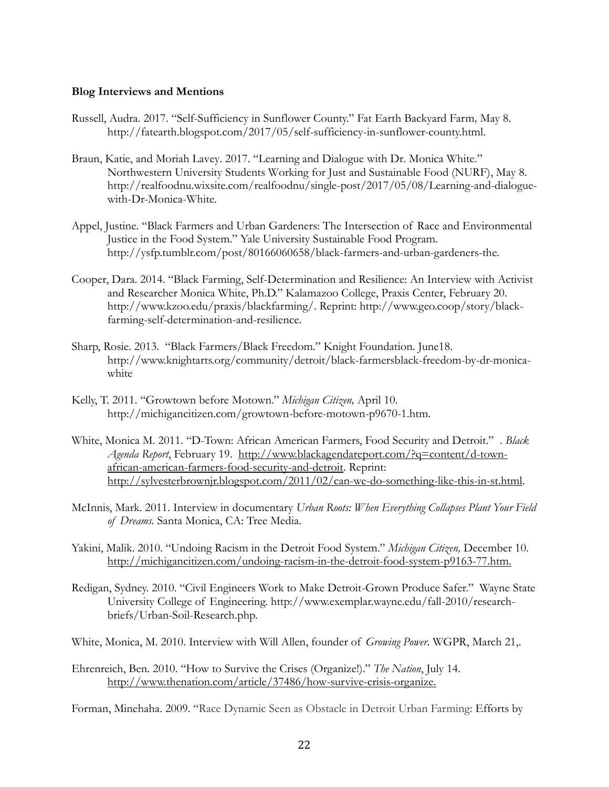### **Blog Interviews and Mentions**

- Russell, Audra. 2017. "Self-Sufficiency in Sunflower County." Fat Earth Backyard Farm*,* May 8. http://fatearth.blogspot.com/2017/05/self-sufficiency-in-sunflower-county.html.
- Braun, Katie, and Moriah Lavey. 2017. "Learning and Dialogue with Dr. Monica White." Northwestern University Students Working for Just and Sustainable Food (NURF), May 8. http://realfoodnu.wixsite.com/realfoodnu/single-post/2017/05/08/Learning-and-dialoguewith-Dr-Monica-White.
- Appel, Justine. "Black Farmers and Urban Gardeners: The Intersection of Race and Environmental Justice in the Food System." Yale University Sustainable Food Program. http://ysfp.tumblr.com/post/80166060658/black-farmers-and-urban-gardeners-the.
- Cooper, Dara. 2014. "Black Farming, Self-Determination and Resilience: An Interview with Activist and Researcher Monica White, Ph.D." Kalamazoo College, Praxis Center, February 20. [http://www.kzoo.edu/praxis/blackfarming/.](http://www.kzoo.edu/praxis/blackfarming/) Reprint: http://www.geo.coop/story/blackfarming-self-determination-and-resilience.
- Sharp, Rosie. 2013. "Black Farmers/Black Freedom." Knight Foundation. June18. http://www.knightarts.org/community/detroit/black-farmersblack-freedom-by-dr-monicawhite
- Kelly, T. 2011. "Growtown before Motown." *Michigan Citizen,* April 10. http://michigancitizen.com/growtown-before-motown-p9670-1.htm.
- White, Monica M. 2011. "D-Town: African American Farmers, Food Security and Detroit." . *Black Agenda Report*, February 19. [http://www.blackagendareport.com/?q=content/d-town](http://www.blackagendareport.com/?q=content/d-town-african-american-farmers-food-security-and-detroit)[african-american-farmers-food-security-and-detroit.](http://www.blackagendareport.com/?q=content/d-town-african-american-farmers-food-security-and-detroit) Reprint: [http://sylvesterbrownjr.blogspot.com/2011/02/can-we-do-something-like-this-in-st.html.](http://sylvesterbrownjr.blogspot.com/2011/02/can-we-do-something-like-this-in-st.html)
- McInnis, Mark. 2011. Interview in documentary *Urban Roots: When Everything Collapses Plant Your Field of Dreams.* Santa Monica, CA: Tree Media.
- Yakini, Malik. 2010. "Undoing Racism in the Detroit Food System." *Michigan Citizen,* December 10. [http://michigancitizen.com/undoing-racism-in-the-detroit-food-system-p9163-77.htm.](http://michigancitizen.com/undoing-racism-in-the-detroit-food-system-p9163-77.htm)
- Redigan, Sydney. 2010. "Civil Engineers Work to Make Detroit-Grown Produce Safer." Wayne State University College of Engineering. http://www.exemplar.wayne.edu/fall-2010/researchbriefs/Urban-Soil-Research.php.
- White, Monica, M. 2010. Interview with Will Allen, founder of *Growing Power*. WGPR, March 21,.
- Ehrenreich, Ben. 2010. "How to Survive the Crises (Organize!)." *The Nation*, July 14. [http://www.thenation.com/article/37486/how-survive-crisis-organize.](http://www.thenation.com/article/37486/how-survive-crisis-organize)

Forman, Minehaha. 2009. "[Race Dynamic Seen as Obstacle in Detroit Urban Farming:](http://michiganmessenger.com/28476/race-dynamic-seen-as-obstacle-in-detroit-urban-farming%22%20%5Co%20%22Permanent%20Link%20to%20Race%20dynamic%20seen%20as%20obstacle%20in%20Detroit%20urban%20farming) Efforts by